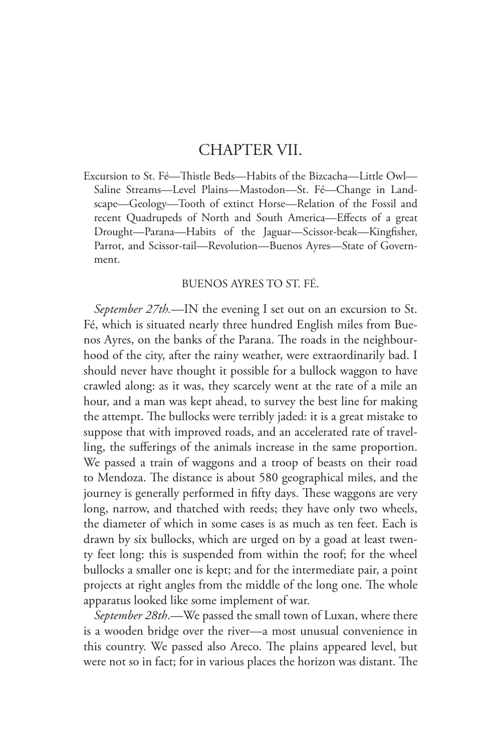## CHAPTER VII.

Excursion to St. Fé—Thistle Beds—Habits of the Bizcacha—Little Owl— Saline Streams—Level Plains—Mastodon—St. Fé—Change in Landscape—Geology—Tooth of extinct Horse—Relation of the Fossil and recent Quadrupeds of North and South America—Effects of a great Drought—Parana—Habits of the Jaguar—Scissor-beak—Kingfisher, Parrot, and Scissor-tail—Revolution—Buenos Ayres—State of Government.

## BUENOS AYRES TO ST. FÉ.

*September 27th.*—IN the evening I set out on an excursion to St. Fé, which is situated nearly three hundred English miles from Buenos Ayres, on the banks of the Parana. The roads in the neighbourhood of the city, after the rainy weather, were extraordinarily bad. I should never have thought it possible for a bullock waggon to have crawled along: as it was, they scarcely went at the rate of a mile an hour, and a man was kept ahead, to survey the best line for making the attempt. The bullocks were terribly jaded: it is a great mistake to suppose that with improved roads, and an accelerated rate of travelling, the sufferings of the animals increase in the same proportion. We passed a train of waggons and a troop of beasts on their road to Mendoza. The distance is about 580 geographical miles, and the journey is generally performed in fifty days. These waggons are very long, narrow, and thatched with reeds; they have only two wheels, the diameter of which in some cases is as much as ten feet. Each is drawn by six bullocks, which are urged on by a goad at least twenty feet long: this is suspended from within the roof; for the wheel bullocks a smaller one is kept; and for the intermediate pair, a point projects at right angles from the middle of the long one. The whole apparatus looked like some implement of war.

*September 28th*.—We passed the small town of Luxan, where there is a wooden bridge over the river—a most unusual convenience in this country. We passed also Areco. The plains appeared level, but were not so in fact; for in various places the horizon was distant. The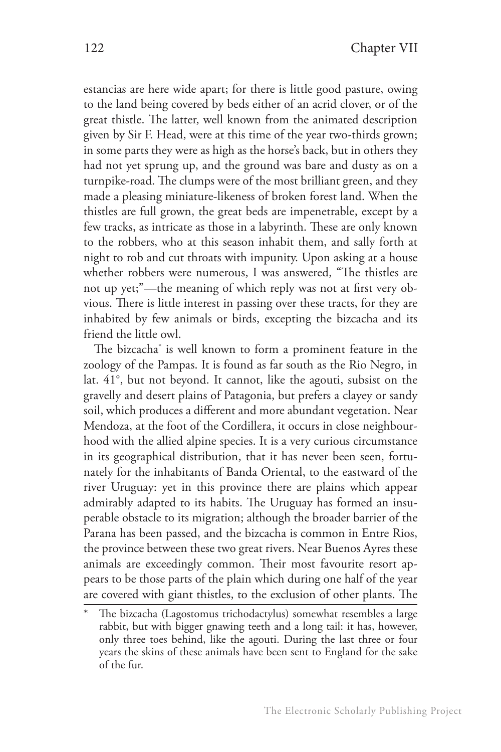estancias are here wide apart; for there is little good pasture, owing to the land being covered by beds either of an acrid clover, or of the great thistle. The latter, well known from the animated description given by Sir F. Head, were at this time of the year two-thirds grown; in some parts they were as high as the horse's back, but in others they had not yet sprung up, and the ground was bare and dusty as on a turnpike-road. The clumps were of the most brilliant green, and they made a pleasing miniature-likeness of broken forest land. When the thistles are full grown, the great beds are impenetrable, except by a few tracks, as intricate as those in a labyrinth. These are only known to the robbers, who at this season inhabit them, and sally forth at night to rob and cut throats with impunity. Upon asking at a house whether robbers were numerous, I was answered, "The thistles are not up yet;"—the meaning of which reply was not at first very obvious. There is little interest in passing over these tracts, for they are inhabited by few animals or birds, excepting the bizcacha and its friend the little owl.

The bizcacha\* is well known to form a prominent feature in the zoology of the Pampas. It is found as far south as the Rio Negro, in lat. 41°, but not beyond. It cannot, like the agouti, subsist on the gravelly and desert plains of Patagonia, but prefers a clayey or sandy soil, which produces a different and more abundant vegetation. Near Mendoza, at the foot of the Cordillera, it occurs in close neighbourhood with the allied alpine species. It is a very curious circumstance in its geographical distribution, that it has never been seen, fortunately for the inhabitants of Banda Oriental, to the eastward of the river Uruguay: yet in this province there are plains which appear admirably adapted to its habits. The Uruguay has formed an insuperable obstacle to its migration; although the broader barrier of the Parana has been passed, and the bizcacha is common in Entre Rios, the province between these two great rivers. Near Buenos Ayres these animals are exceedingly common. Their most favourite resort appears to be those parts of the plain which during one half of the year are covered with giant thistles, to the exclusion of other plants. The

The bizcacha (Lagostomus trichodactylus) somewhat resembles a large rabbit, but with bigger gnawing teeth and a long tail: it has, however, only three toes behind, like the agouti. During the last three or four years the skins of these animals have been sent to England for the sake of the fur.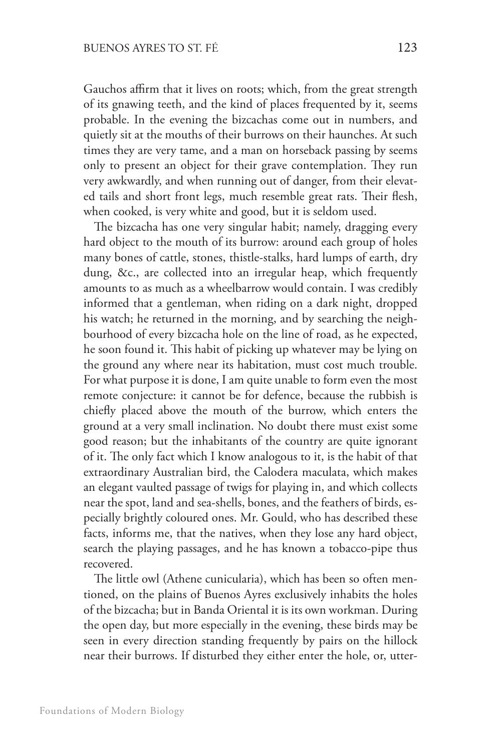Gauchos affirm that it lives on roots; which, from the great strength of its gnawing teeth, and the kind of places frequented by it, seems probable. In the evening the bizcachas come out in numbers, and quietly sit at the mouths of their burrows on their haunches. At such times they are very tame, and a man on horseback passing by seems only to present an object for their grave contemplation. They run very awkwardly, and when running out of danger, from their elevated tails and short front legs, much resemble great rats. Their flesh, when cooked, is very white and good, but it is seldom used.

The bizcacha has one very singular habit; namely, dragging every hard object to the mouth of its burrow: around each group of holes many bones of cattle, stones, thistle-stalks, hard lumps of earth, dry dung, &c., are collected into an irregular heap, which frequently amounts to as much as a wheelbarrow would contain. I was credibly informed that a gentleman, when riding on a dark night, dropped his watch; he returned in the morning, and by searching the neighbourhood of every bizcacha hole on the line of road, as he expected, he soon found it. This habit of picking up whatever may be lying on the ground any where near its habitation, must cost much trouble. For what purpose it is done, I am quite unable to form even the most remote conjecture: it cannot be for defence, because the rubbish is chiefly placed above the mouth of the burrow, which enters the ground at a very small inclination. No doubt there must exist some good reason; but the inhabitants of the country are quite ignorant of it. The only fact which I know analogous to it, is the habit of that extraordinary Australian bird, the Calodera maculata, which makes an elegant vaulted passage of twigs for playing in, and which collects near the spot, land and sea-shells, bones, and the feathers of birds, especially brightly coloured ones. Mr. Gould, who has described these facts, informs me, that the natives, when they lose any hard object, search the playing passages, and he has known a tobacco-pipe thus recovered.

The little owl (Athene cunicularia), which has been so often mentioned, on the plains of Buenos Ayres exclusively inhabits the holes of the bizcacha; but in Banda Oriental it is its own workman. During the open day, but more especially in the evening, these birds may be seen in every direction standing frequently by pairs on the hillock near their burrows. If disturbed they either enter the hole, or, utter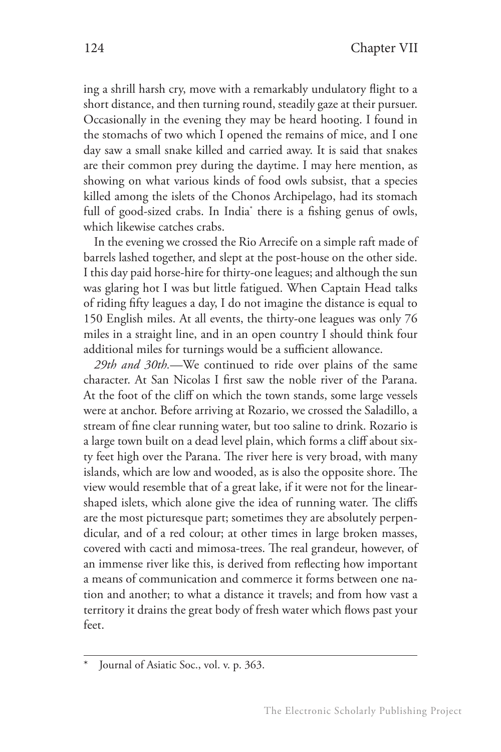ing a shrill harsh cry, move with a remarkably undulatory flight to a short distance, and then turning round, steadily gaze at their pursuer. Occasionally in the evening they may be heard hooting. I found in the stomachs of two which I opened the remains of mice, and I one day saw a small snake killed and carried away. It is said that snakes are their common prey during the daytime. I may here mention, as showing on what various kinds of food owls subsist, that a species killed among the islets of the Chonos Archipelago, had its stomach full of good-sized crabs. In India\* there is a fishing genus of owls, which likewise catches crabs.

In the evening we crossed the Rio Arrecife on a simple raft made of barrels lashed together, and slept at the post-house on the other side. I this day paid horse-hire for thirty-one leagues; and although the sun was glaring hot I was but little fatigued. When Captain Head talks of riding fifty leagues a day, I do not imagine the distance is equal to 150 English miles. At all events, the thirty-one leagues was only 76 miles in a straight line, and in an open country I should think four additional miles for turnings would be a sufficient allowance.

*29th and 30th.*—We continued to ride over plains of the same character. At San Nicolas I first saw the noble river of the Parana. At the foot of the cliff on which the town stands, some large vessels were at anchor. Before arriving at Rozario, we crossed the Saladillo, a stream of fine clear running water, but too saline to drink. Rozario is a large town built on a dead level plain, which forms a cliff about sixty feet high over the Parana. The river here is very broad, with many islands, which are low and wooded, as is also the opposite shore. The view would resemble that of a great lake, if it were not for the linearshaped islets, which alone give the idea of running water. The cliffs are the most picturesque part; sometimes they are absolutely perpendicular, and of a red colour; at other times in large broken masses, covered with cacti and mimosa-trees. The real grandeur, however, of an immense river like this, is derived from reflecting how important a means of communication and commerce it forms between one nation and another; to what a distance it travels; and from how vast a territory it drains the great body of fresh water which flows past your feet.

Journal of Asiatic Soc., vol. v. p. 363.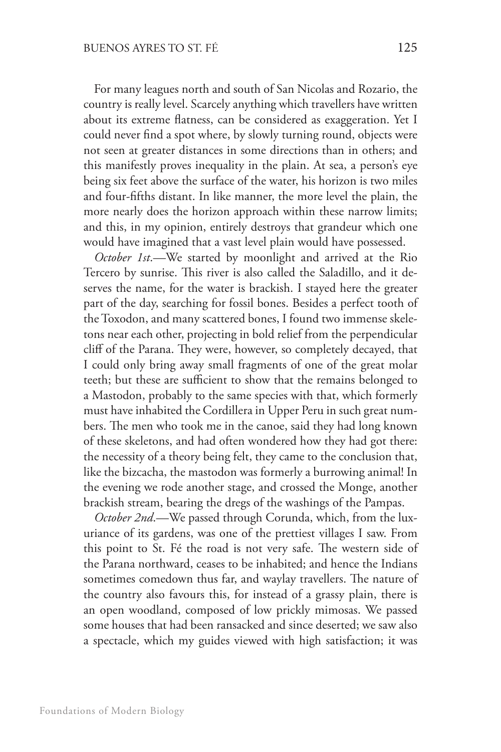For many leagues north and south of San Nicolas and Rozario, the country is really level. Scarcely anything which travellers have written about its extreme flatness, can be considered as exaggeration. Yet I could never find a spot where, by slowly turning round, objects were not seen at greater distances in some directions than in others; and this manifestly proves inequality in the plain. At sea, a person's eye being six feet above the surface of the water, his horizon is two miles and four-fifths distant. In like manner, the more level the plain, the more nearly does the horizon approach within these narrow limits; and this, in my opinion, entirely destroys that grandeur which one would have imagined that a vast level plain would have possessed.

*October 1st*.—We started by moonlight and arrived at the Rio Tercero by sunrise. This river is also called the Saladillo, and it deserves the name, for the water is brackish. I stayed here the greater part of the day, searching for fossil bones. Besides a perfect tooth of the Toxodon, and many scattered bones, I found two immense skeletons near each other, projecting in bold relief from the perpendicular cliff of the Parana. They were, however, so completely decayed, that I could only bring away small fragments of one of the great molar teeth; but these are sufficient to show that the remains belonged to a Mastodon, probably to the same species with that, which formerly must have inhabited the Cordillera in Upper Peru in such great numbers. The men who took me in the canoe, said they had long known of these skeletons, and had often wondered how they had got there: the necessity of a theory being felt, they came to the conclusion that, like the bizcacha, the mastodon was formerly a burrowing animal! In the evening we rode another stage, and crossed the Monge, another brackish stream, bearing the dregs of the washings of the Pampas.

*October 2nd*.—We passed through Corunda, which, from the luxuriance of its gardens, was one of the prettiest villages I saw. From this point to St. Fé the road is not very safe. The western side of the Parana northward, ceases to be inhabited; and hence the Indians sometimes comedown thus far, and waylay travellers. The nature of the country also favours this, for instead of a grassy plain, there is an open woodland, composed of low prickly mimosas. We passed some houses that had been ransacked and since deserted; we saw also a spectacle, which my guides viewed with high satisfaction; it was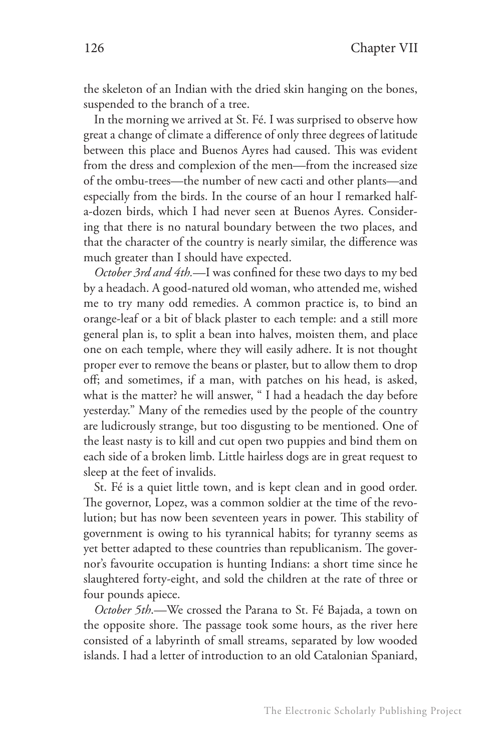the skeleton of an Indian with the dried skin hanging on the bones, suspended to the branch of a tree.

In the morning we arrived at St. Fé. I was surprised to observe how great a change of climate a difference of only three degrees of latitude between this place and Buenos Ayres had caused. This was evident from the dress and complexion of the men—from the increased size of the ombu-trees—the number of new cacti and other plants—and especially from the birds. In the course of an hour I remarked halfa-dozen birds, which I had never seen at Buenos Ayres. Considering that there is no natural boundary between the two places, and that the character of the country is nearly similar, the difference was much greater than I should have expected.

*October 3rd and 4th.*—I was confined for these two days to my bed by a headach. A good-natured old woman, who attended me, wished me to try many odd remedies. A common practice is, to bind an orange-leaf or a bit of black plaster to each temple: and a still more general plan is, to split a bean into halves, moisten them, and place one on each temple, where they will easily adhere. It is not thought proper ever to remove the beans or plaster, but to allow them to drop off; and sometimes, if a man, with patches on his head, is asked, what is the matter? he will answer, " I had a headach the day before yesterday." Many of the remedies used by the people of the country are ludicrously strange, but too disgusting to be mentioned. One of the least nasty is to kill and cut open two puppies and bind them on each side of a broken limb. Little hairless dogs are in great request to sleep at the feet of invalids.

St. Fé is a quiet little town, and is kept clean and in good order. The governor, Lopez, was a common soldier at the time of the revolution; but has now been seventeen years in power. This stability of government is owing to his tyrannical habits; for tyranny seems as yet better adapted to these countries than republicanism. The governor's favourite occupation is hunting Indians: a short time since he slaughtered forty-eight, and sold the children at the rate of three or four pounds apiece.

*October 5th*.—We crossed the Parana to St. Fé Bajada, a town on the opposite shore. The passage took some hours, as the river here consisted of a labyrinth of small streams, separated by low wooded islands. I had a letter of introduction to an old Catalonian Spaniard,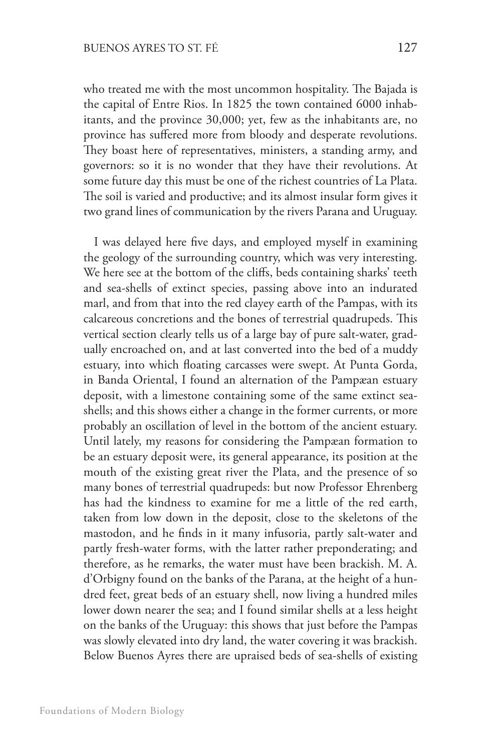who treated me with the most uncommon hospitality. The Bajada is the capital of Entre Rios. In 1825 the town contained 6000 inhabitants, and the province 30,000; yet, few as the inhabitants are, no province has suffered more from bloody and desperate revolutions. They boast here of representatives, ministers, a standing army, and governors: so it is no wonder that they have their revolutions. At some future day this must be one of the richest countries of La Plata. The soil is varied and productive; and its almost insular form gives it two grand lines of communication by the rivers Parana and Uruguay.

I was delayed here five days, and employed myself in examining the geology of the surrounding country, which was very interesting. We here see at the bottom of the cliffs, beds containing sharks' teeth and sea-shells of extinct species, passing above into an indurated marl, and from that into the red clayey earth of the Pampas, with its calcareous concretions and the bones of terrestrial quadrupeds. This vertical section clearly tells us of a large bay of pure salt-water, gradually encroached on, and at last converted into the bed of a muddy estuary, into which floating carcasses were swept. At Punta Gorda, in Banda Oriental, I found an alternation of the Pampæan estuary deposit, with a limestone containing some of the same extinct seashells; and this shows either a change in the former currents, or more probably an oscillation of level in the bottom of the ancient estuary. Until lately, my reasons for considering the Pampæan formation to be an estuary deposit were, its general appearance, its position at the mouth of the existing great river the Plata, and the presence of so many bones of terrestrial quadrupeds: but now Professor Ehrenberg has had the kindness to examine for me a little of the red earth, taken from low down in the deposit, close to the skeletons of the mastodon, and he finds in it many infusoria, partly salt-water and partly fresh-water forms, with the latter rather preponderating; and therefore, as he remarks, the water must have been brackish. M. A. d'Orbigny found on the banks of the Parana, at the height of a hundred feet, great beds of an estuary shell, now living a hundred miles lower down nearer the sea; and I found similar shells at a less height on the banks of the Uruguay: this shows that just before the Pampas was slowly elevated into dry land, the water covering it was brackish. Below Buenos Ayres there are upraised beds of sea-shells of existing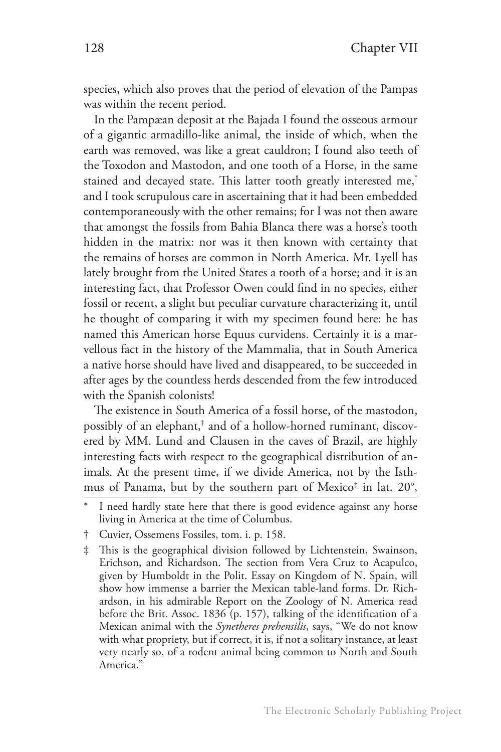species, which also proves that the period of elevation of the Pampas was within the recent period.

In the Pampæan deposit at the Bajada I found the osseous armour of a gigantic armadillo-like animal, the inside of which, when the earth was removed, was like a great cauldron; I found also teeth of the Toxodon and Mastodon, and one tooth of a Horse, in the same stained and decayed state. This latter tooth greatly interested me,\* and I took scrupulous care in ascertaining that it had been embedded contemporaneously with the other remains; for I was not then aware that amongst the fossils from Bahia Blanca there was a horse's tooth hidden in the matrix: nor was it then known with certainty that the remains of horses are common in North America. Mr. Lyell has lately brought from the United States a tooth of a horse; and it is an interesting fact, that Professor Owen could find in no species, either fossil or recent, a slight but peculiar curvature characterizing it, until he thought of comparing it with my specimen found here: he has named this American horse Equus curvidens. Certainly it is a marvellous fact in the history of the Mammalia, that in South America a native horse should have lived and disappeared, to be succeeded in after ages by the countless herds descended from the few introduced with the Spanish colonists!

The existence in South America of a fossil horse, of the mastodon, possibly of an elephant,† and of a hollow-horned ruminant, discovered by MM. Lund and Clausen in the caves of Brazil, are highly interesting facts with respect to the geographical distribution of animals. At the present time, if we divide America, not by the Isthmus of Panama, but by the southern part of Mexico‡ in lat. 20°,

I need hardly state here that there is good evidence against any horse living in America at the time of Columbus.

<sup>†</sup> Cuvier, Ossemens Fossiles, tom. i. p. 158.

<sup>‡</sup> This is the geographical division followed by Lichtenstein, Swainson, Erichson, and Richardson. The section from Vera Cruz to Acapulco, given by Humboldt in the Polit. Essay on Kingdom of N. Spain, will show how immense a barrier the Mexican table-land forms. Dr. Richardson, in his admirable Report on the Zoology of N. America read before the Brit. Assoc. 1836 (p. 157), talking of the identification of a Mexican animal with the *Synetheres prehensilis*, says, "We do not know with what propriety, but if correct, it is, if not a solitary instance, at least very nearly so, of a rodent animal being common to North and South America."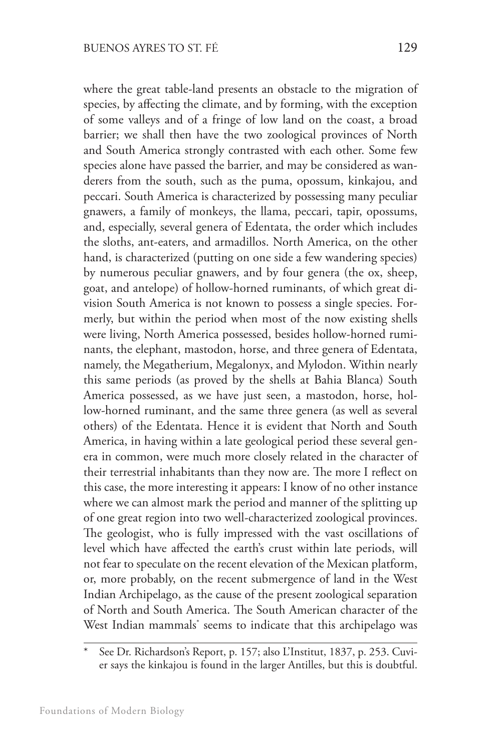where the great table-land presents an obstacle to the migration of species, by affecting the climate, and by forming, with the exception of some valleys and of a fringe of low land on the coast, a broad barrier; we shall then have the two zoological provinces of North and South America strongly contrasted with each other. Some few species alone have passed the barrier, and may be considered as wanderers from the south, such as the puma, opossum, kinkajou, and peccari. South America is characterized by possessing many peculiar gnawers, a family of monkeys, the llama, peccari, tapir, opossums, and, especially, several genera of Edentata, the order which includes the sloths, ant-eaters, and armadillos. North America, on the other hand, is characterized (putting on one side a few wandering species) by numerous peculiar gnawers, and by four genera (the ox, sheep, goat, and antelope) of hollow-horned ruminants, of which great division South America is not known to possess a single species. Formerly, but within the period when most of the now existing shells were living, North America possessed, besides hollow-horned ruminants, the elephant, mastodon, horse, and three genera of Edentata, namely, the Megatherium, Megalonyx, and Mylodon. Within nearly this same periods (as proved by the shells at Bahia Blanca) South America possessed, as we have just seen, a mastodon, horse, hollow-horned ruminant, and the same three genera (as well as several others) of the Edentata. Hence it is evident that North and South America, in having within a late geological period these several genera in common, were much more closely related in the character of their terrestrial inhabitants than they now are. The more I reflect on this case, the more interesting it appears: I know of no other instance where we can almost mark the period and manner of the splitting up of one great region into two well-characterized zoological provinces. The geologist, who is fully impressed with the vast oscillations of level which have affected the earth's crust within late periods, will not fear to speculate on the recent elevation of the Mexican platform, or, more probably, on the recent submergence of land in the West Indian Archipelago, as the cause of the present zoological separation of North and South America. The South American character of the

West Indian mammals\* seems to indicate that this archipelago was

See Dr. Richardson's Report, p. 157; also L'Institut, 1837, p. 253. Cuvier says the kinkajou is found in the larger Antilles, but this is doubtful.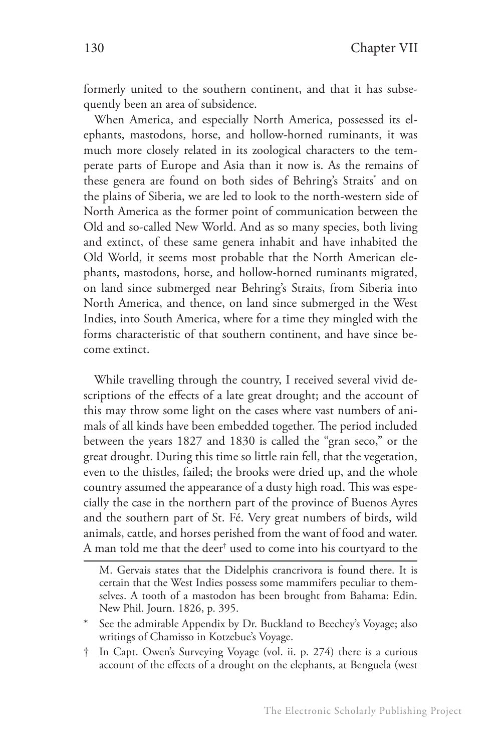formerly united to the southern continent, and that it has subsequently been an area of subsidence.

When America, and especially North America, possessed its elephants, mastodons, horse, and hollow-horned ruminants, it was much more closely related in its zoological characters to the temperate parts of Europe and Asia than it now is. As the remains of these genera are found on both sides of Behring's Straits\* and on the plains of Siberia, we are led to look to the north-western side of North America as the former point of communication between the Old and so-called New World. And as so many species, both living and extinct, of these same genera inhabit and have inhabited the Old World, it seems most probable that the North American elephants, mastodons, horse, and hollow-horned ruminants migrated, on land since submerged near Behring's Straits, from Siberia into North America, and thence, on land since submerged in the West Indies, into South America, where for a time they mingled with the forms characteristic of that southern continent, and have since become extinct.

While travelling through the country, I received several vivid descriptions of the effects of a late great drought; and the account of this may throw some light on the cases where vast numbers of animals of all kinds have been embedded together. The period included between the years 1827 and 1830 is called the "gran seco," or the great drought. During this time so little rain fell, that the vegetation, even to the thistles, failed; the brooks were dried up, and the whole country assumed the appearance of a dusty high road. This was especially the case in the northern part of the province of Buenos Ayres and the southern part of St. Fé. Very great numbers of birds, wild animals, cattle, and horses perished from the want of food and water. A man told me that the deer $^\dagger$  used to come into his courtyard to the

M. Gervais states that the Didelphis crancrivora is found there. It is certain that the West Indies possess some mammifers peculiar to themselves. A tooth of a mastodon has been brought from Bahama: Edin. New Phil. Journ. 1826, p. 395.

<sup>\*</sup> See the admirable Appendix by Dr. Buckland to Beechey's Voyage; also writings of Chamisso in Kotzebue's Voyage.

<sup>†</sup> In Capt. Owen's Surveying Voyage (vol. ii. p. 274) there is a curious account of the effects of a drought on the elephants, at Benguela (west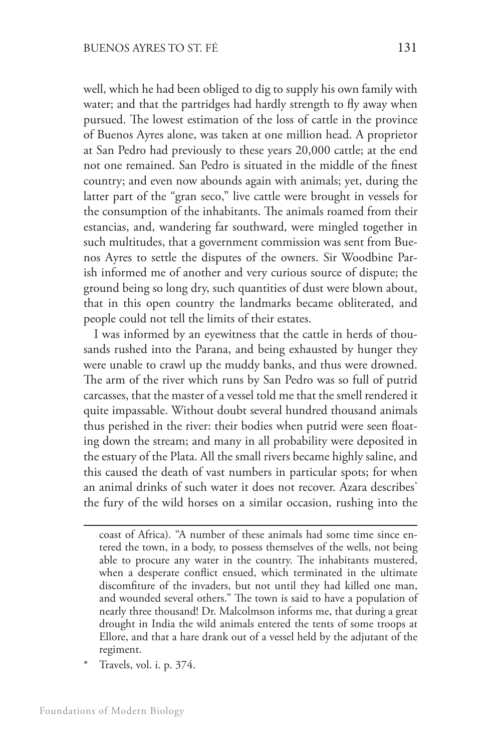well, which he had been obliged to dig to supply his own family with water; and that the partridges had hardly strength to fly away when pursued. The lowest estimation of the loss of cattle in the province of Buenos Ayres alone, was taken at one million head. A proprietor at San Pedro had previously to these years 20,000 cattle; at the end not one remained. San Pedro is situated in the middle of the finest country; and even now abounds again with animals; yet, during the latter part of the "gran seco," live cattle were brought in vessels for the consumption of the inhabitants. The animals roamed from their estancias, and, wandering far southward, were mingled together in such multitudes, that a government commission was sent from Buenos Ayres to settle the disputes of the owners. Sir Woodbine Parish informed me of another and very curious source of dispute; the ground being so long dry, such quantities of dust were blown about, that in this open country the landmarks became obliterated, and people could not tell the limits of their estates.

I was informed by an eyewitness that the cattle in herds of thousands rushed into the Parana, and being exhausted by hunger they were unable to crawl up the muddy banks, and thus were drowned. The arm of the river which runs by San Pedro was so full of putrid carcasses, that the master of a vessel told me that the smell rendered it quite impassable. Without doubt several hundred thousand animals thus perished in the river: their bodies when putrid were seen floating down the stream; and many in all probability were deposited in the estuary of the Plata. All the small rivers became highly saline, and this caused the death of vast numbers in particular spots; for when an animal drinks of such water it does not recover. Azara describes<sup>\*</sup> the fury of the wild horses on a similar occasion, rushing into the

Travels, vol. i. p. 374.

coast of Africa). "A number of these animals had some time since entered the town, in a body, to possess themselves of the wells, not being able to procure any water in the country. The inhabitants mustered, when a desperate conflict ensued, which terminated in the ultimate discomfiture of the invaders, but not until they had killed one man, and wounded several others." The town is said to have a population of nearly three thousand! Dr. Malcolmson informs me, that during a great drought in India the wild animals entered the tents of some troops at Ellore, and that a hare drank out of a vessel held by the adjutant of the regiment.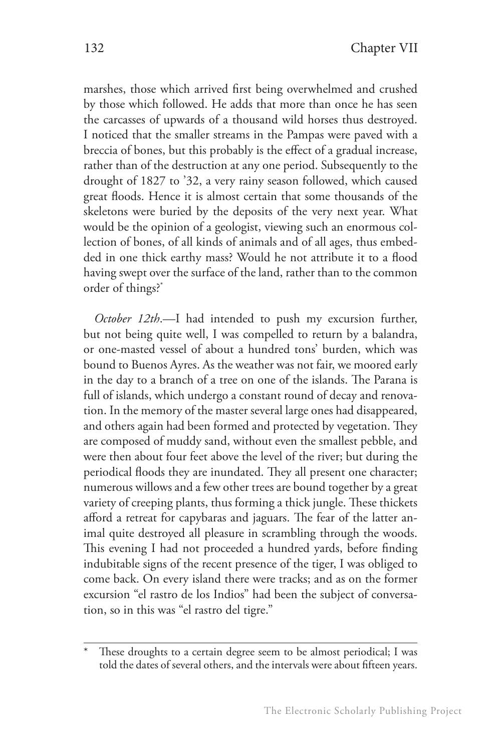marshes, those which arrived first being overwhelmed and crushed by those which followed. He adds that more than once he has seen the carcasses of upwards of a thousand wild horses thus destroyed. I noticed that the smaller streams in the Pampas were paved with a breccia of bones, but this probably is the effect of a gradual increase, rather than of the destruction at any one period. Subsequently to the drought of 1827 to '32, a very rainy season followed, which caused great floods. Hence it is almost certain that some thousands of the skeletons were buried by the deposits of the very next year. What would be the opinion of a geologist, viewing such an enormous collection of bones, of all kinds of animals and of all ages, thus embedded in one thick earthy mass? Would he not attribute it to a flood having swept over the surface of the land, rather than to the common order of things?\*

*October 12th*.—I had intended to push my excursion further, but not being quite well, I was compelled to return by a balandra, or one-masted vessel of about a hundred tons' burden, which was bound to Buenos Ayres. As the weather was not fair, we moored early in the day to a branch of a tree on one of the islands. The Parana is full of islands, which undergo a constant round of decay and renovation. In the memory of the master several large ones had disappeared, and others again had been formed and protected by vegetation. They are composed of muddy sand, without even the smallest pebble, and were then about four feet above the level of the river; but during the periodical floods they are inundated. They all present one character; numerous willows and a few other trees are bound together by a great variety of creeping plants, thus forming a thick jungle. These thickets afford a retreat for capybaras and jaguars. The fear of the latter animal quite destroyed all pleasure in scrambling through the woods. This evening I had not proceeded a hundred yards, before finding indubitable signs of the recent presence of the tiger, I was obliged to come back. On every island there were tracks; and as on the former excursion "el rastro de los Indios" had been the subject of conversation, so in this was "el rastro del tigre."

These droughts to a certain degree seem to be almost periodical; I was told the dates of several others, and the intervals were about fifteen years.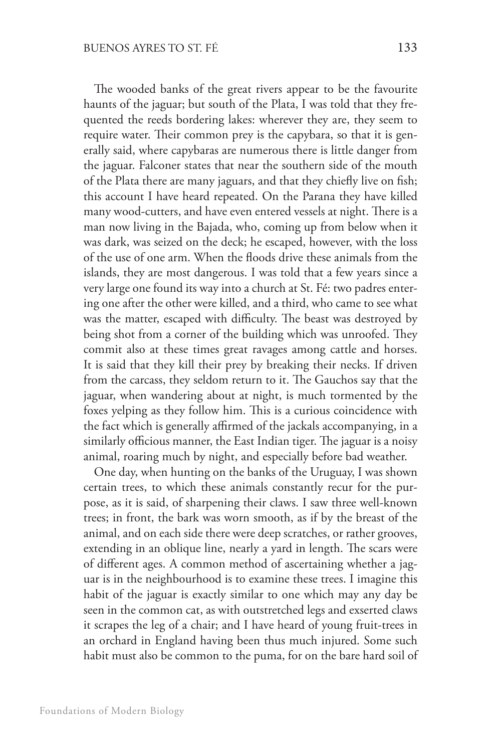The wooded banks of the great rivers appear to be the favourite haunts of the jaguar; but south of the Plata, I was told that they frequented the reeds bordering lakes: wherever they are, they seem to require water. Their common prey is the capybara, so that it is generally said, where capybaras are numerous there is little danger from the jaguar. Falconer states that near the southern side of the mouth of the Plata there are many jaguars, and that they chiefly live on fish; this account I have heard repeated. On the Parana they have killed many wood-cutters, and have even entered vessels at night. There is a man now living in the Bajada, who, coming up from below when it was dark, was seized on the deck; he escaped, however, with the loss of the use of one arm. When the floods drive these animals from the islands, they are most dangerous. I was told that a few years since a very large one found its way into a church at St. Fé: two padres entering one after the other were killed, and a third, who came to see what was the matter, escaped with difficulty. The beast was destroyed by being shot from a corner of the building which was unroofed. They commit also at these times great ravages among cattle and horses. It is said that they kill their prey by breaking their necks. If driven from the carcass, they seldom return to it. The Gauchos say that the jaguar, when wandering about at night, is much tormented by the foxes yelping as they follow him. This is a curious coincidence with the fact which is generally affirmed of the jackals accompanying, in a similarly officious manner, the East Indian tiger. The jaguar is a noisy animal, roaring much by night, and especially before bad weather.

One day, when hunting on the banks of the Uruguay, I was shown certain trees, to which these animals constantly recur for the purpose, as it is said, of sharpening their claws. I saw three well-known trees; in front, the bark was worn smooth, as if by the breast of the animal, and on each side there were deep scratches, or rather grooves, extending in an oblique line, nearly a yard in length. The scars were of different ages. A common method of ascertaining whether a jaguar is in the neighbourhood is to examine these trees. I imagine this habit of the jaguar is exactly similar to one which may any day be seen in the common cat, as with outstretched legs and exserted claws it scrapes the leg of a chair; and I have heard of young fruit-trees in an orchard in England having been thus much injured. Some such habit must also be common to the puma, for on the bare hard soil of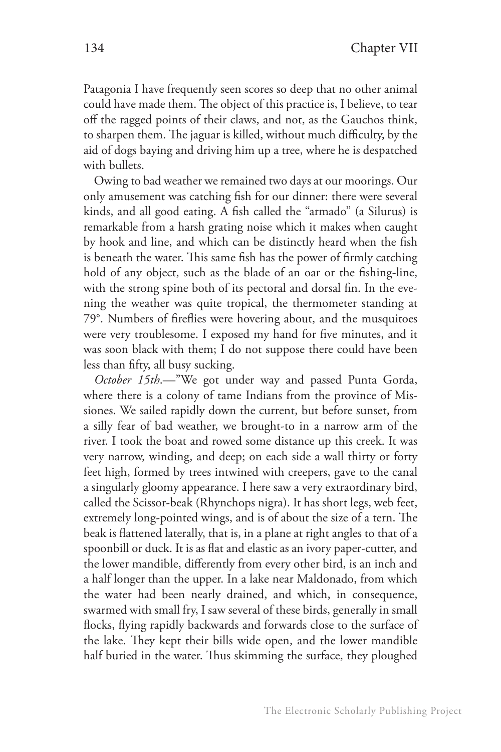Patagonia I have frequently seen scores so deep that no other animal could have made them. The object of this practice is, I believe, to tear off the ragged points of their claws, and not, as the Gauchos think, to sharpen them. The jaguar is killed, without much difficulty, by the aid of dogs baying and driving him up a tree, where he is despatched with bullets.

Owing to bad weather we remained two days at our moorings. Our only amusement was catching fish for our dinner: there were several kinds, and all good eating. A fish called the "armado" (a Silurus) is remarkable from a harsh grating noise which it makes when caught by hook and line, and which can be distinctly heard when the fish is beneath the water. This same fish has the power of firmly catching hold of any object, such as the blade of an oar or the fishing-line, with the strong spine both of its pectoral and dorsal fin. In the evening the weather was quite tropical, the thermometer standing at 79°. Numbers of fireflies were hovering about, and the musquitoes were very troublesome. I exposed my hand for five minutes, and it was soon black with them; I do not suppose there could have been less than fifty, all busy sucking.

*October 15th*.—"We got under way and passed Punta Gorda, where there is a colony of tame Indians from the province of Missiones. We sailed rapidly down the current, but before sunset, from a silly fear of bad weather, we brought-to in a narrow arm of the river. I took the boat and rowed some distance up this creek. It was very narrow, winding, and deep; on each side a wall thirty or forty feet high, formed by trees intwined with creepers, gave to the canal a singularly gloomy appearance. I here saw a very extraordinary bird, called the Scissor-beak (Rhynchops nigra). It has short legs, web feet, extremely long-pointed wings, and is of about the size of a tern. The beak is flattened laterally, that is, in a plane at right angles to that of a spoonbill or duck. It is as flat and elastic as an ivory paper-cutter, and the lower mandible, differently from every other bird, is an inch and a half longer than the upper. In a lake near Maldonado, from which the water had been nearly drained, and which, in consequence, swarmed with small fry, I saw several of these birds, generally in small flocks, flying rapidly backwards and forwards close to the surface of the lake. They kept their bills wide open, and the lower mandible half buried in the water. Thus skimming the surface, they ploughed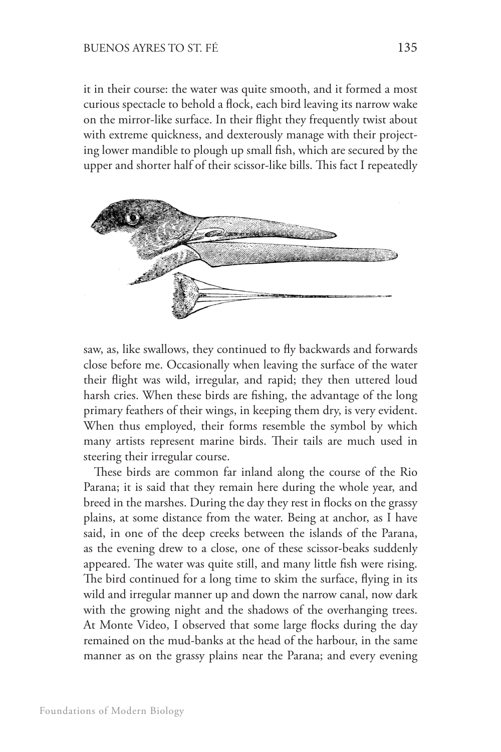it in their course: the water was quite smooth, and it formed a most curious spectacle to behold a flock, each bird leaving its narrow wake on the mirror-like surface. In their flight they frequently twist about with extreme quickness, and dexterously manage with their projecting lower mandible to plough up small fish, which are secured by the upper and shorter half of their scissor-like bills. This fact I repeatedly



saw, as, like swallows, they continued to fly backwards and forwards close before me. Occasionally when leaving the surface of the water their flight was wild, irregular, and rapid; they then uttered loud harsh cries. When these birds are fishing, the advantage of the long primary feathers of their wings, in keeping them dry, is very evident. When thus employed, their forms resemble the symbol by which many artists represent marine birds. Their tails are much used in steering their irregular course.

These birds are common far inland along the course of the Rio Parana; it is said that they remain here during the whole year, and breed in the marshes. During the day they rest in flocks on the grassy plains, at some distance from the water. Being at anchor, as I have said, in one of the deep creeks between the islands of the Parana, as the evening drew to a close, one of these scissor-beaks suddenly appeared. The water was quite still, and many little fish were rising. The bird continued for a long time to skim the surface, flying in its wild and irregular manner up and down the narrow canal, now dark with the growing night and the shadows of the overhanging trees. At Monte Video, I observed that some large flocks during the day remained on the mud-banks at the head of the harbour, in the same manner as on the grassy plains near the Parana; and every evening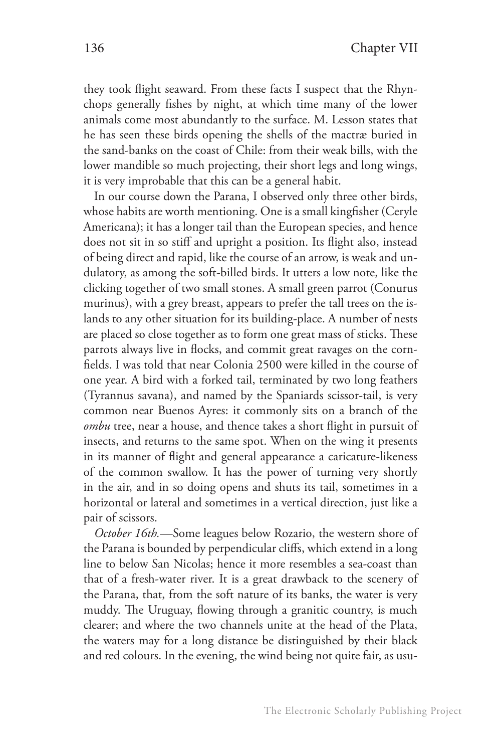they took flight seaward. From these facts I suspect that the Rhynchops generally fishes by night, at which time many of the lower animals come most abundantly to the surface. M. Lesson states that he has seen these birds opening the shells of the mactræ buried in the sand-banks on the coast of Chile: from their weak bills, with the lower mandible so much projecting, their short legs and long wings, it is very improbable that this can be a general habit.

In our course down the Parana, I observed only three other birds, whose habits are worth mentioning. One is a small kingfisher (Ceryle Americana); it has a longer tail than the European species, and hence does not sit in so stiff and upright a position. Its flight also, instead of being direct and rapid, like the course of an arrow, is weak and undulatory, as among the soft-billed birds. It utters a low note, like the clicking together of two small stones. A small green parrot (Conurus murinus), with a grey breast, appears to prefer the tall trees on the islands to any other situation for its building-place. A number of nests are placed so close together as to form one great mass of sticks. These parrots always live in flocks, and commit great ravages on the cornfields. I was told that near Colonia 2500 were killed in the course of one year. A bird with a forked tail, terminated by two long feathers (Tyrannus savana), and named by the Spaniards scissor-tail, is very common near Buenos Ayres: it commonly sits on a branch of the *ombu* tree, near a house, and thence takes a short flight in pursuit of insects, and returns to the same spot. When on the wing it presents in its manner of flight and general appearance a caricature-likeness of the common swallow. It has the power of turning very shortly in the air, and in so doing opens and shuts its tail, sometimes in a horizontal or lateral and sometimes in a vertical direction, just like a pair of scissors.

*October 16th.*—Some leagues below Rozario, the western shore of the Parana is bounded by perpendicular cliffs, which extend in a long line to below San Nicolas; hence it more resembles a sea-coast than that of a fresh-water river. It is a great drawback to the scenery of the Parana, that, from the soft nature of its banks, the water is very muddy. The Uruguay, flowing through a granitic country, is much clearer; and where the two channels unite at the head of the Plata, the waters may for a long distance be distinguished by their black and red colours. In the evening, the wind being not quite fair, as usu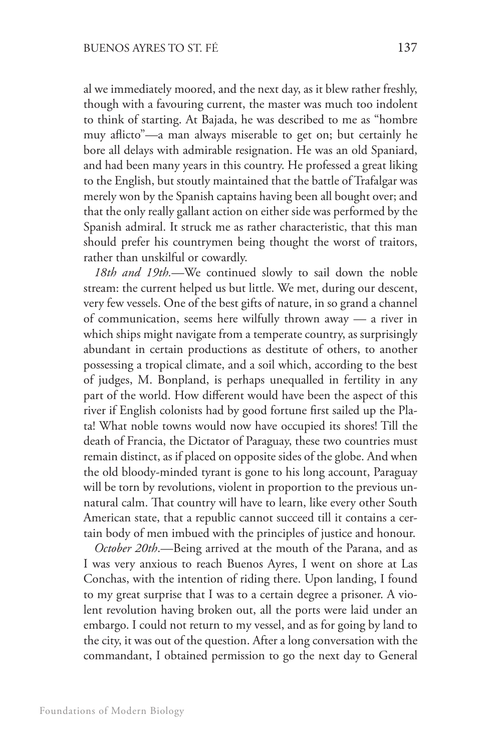al we immediately moored, and the next day, as it blew rather freshly, though with a favouring current, the master was much too indolent to think of starting. At Bajada, he was described to me as "hombre muy aflicto"—a man always miserable to get on; but certainly he bore all delays with admirable resignation. He was an old Spaniard, and had been many years in this country. He professed a great liking to the English, but stoutly maintained that the battle of Trafalgar was merely won by the Spanish captains having been all bought over; and that the only really gallant action on either side was performed by the Spanish admiral. It struck me as rather characteristic, that this man should prefer his countrymen being thought the worst of traitors, rather than unskilful or cowardly.

*18th and 19th.*—We continued slowly to sail down the noble stream: the current helped us but little. We met, during our descent, very few vessels. One of the best gifts of nature, in so grand a channel of communication, seems here wilfully thrown away — a river in which ships might navigate from a temperate country, as surprisingly abundant in certain productions as destitute of others, to another possessing a tropical climate, and a soil which, according to the best of judges, M. Bonpland, is perhaps unequalled in fertility in any part of the world. How different would have been the aspect of this river if English colonists had by good fortune first sailed up the Plata! What noble towns would now have occupied its shores! Till the death of Francia, the Dictator of Paraguay, these two countries must remain distinct, as if placed on opposite sides of the globe. And when the old bloody-minded tyrant is gone to his long account, Paraguay will be torn by revolutions, violent in proportion to the previous unnatural calm. That country will have to learn, like every other South American state, that a republic cannot succeed till it contains a certain body of men imbued with the principles of justice and honour.

*October 20th*.—Being arrived at the mouth of the Parana, and as I was very anxious to reach Buenos Ayres, I went on shore at Las Conchas, with the intention of riding there. Upon landing, I found to my great surprise that I was to a certain degree a prisoner. A violent revolution having broken out, all the ports were laid under an embargo. I could not return to my vessel, and as for going by land to the city, it was out of the question. After a long conversation with the commandant, I obtained permission to go the next day to General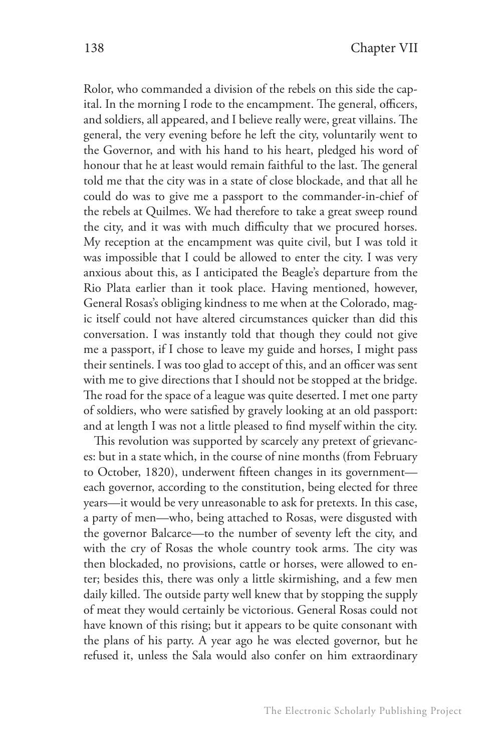Rolor, who commanded a division of the rebels on this side the capital. In the morning I rode to the encampment. The general, officers, and soldiers, all appeared, and I believe really were, great villains. The general, the very evening before he left the city, voluntarily went to the Governor, and with his hand to his heart, pledged his word of honour that he at least would remain faithful to the last. The general told me that the city was in a state of close blockade, and that all he could do was to give me a passport to the commander-in-chief of the rebels at Quilmes. We had therefore to take a great sweep round the city, and it was with much difficulty that we procured horses. My reception at the encampment was quite civil, but I was told it was impossible that I could be allowed to enter the city. I was very anxious about this, as I anticipated the Beagle's departure from the Rio Plata earlier than it took place. Having mentioned, however, General Rosas's obliging kindness to me when at the Colorado, magic itself could not have altered circumstances quicker than did this conversation. I was instantly told that though they could not give me a passport, if I chose to leave my guide and horses, I might pass their sentinels. I was too glad to accept of this, and an officer was sent with me to give directions that I should not be stopped at the bridge. The road for the space of a league was quite deserted. I met one party of soldiers, who were satisfied by gravely looking at an old passport: and at length I was not a little pleased to find myself within the city.

This revolution was supported by scarcely any pretext of grievances: but in a state which, in the course of nine months (from February to October, 1820), underwent fifteen changes in its government each governor, according to the constitution, being elected for three years—it would be very unreasonable to ask for pretexts. In this case, a party of men—who, being attached to Rosas, were disgusted with the governor Balcarce—to the number of seventy left the city, and with the cry of Rosas the whole country took arms. The city was then blockaded, no provisions, cattle or horses, were allowed to enter; besides this, there was only a little skirmishing, and a few men daily killed. The outside party well knew that by stopping the supply of meat they would certainly be victorious. General Rosas could not have known of this rising; but it appears to be quite consonant with the plans of his party. A year ago he was elected governor, but he refused it, unless the Sala would also confer on him extraordinary